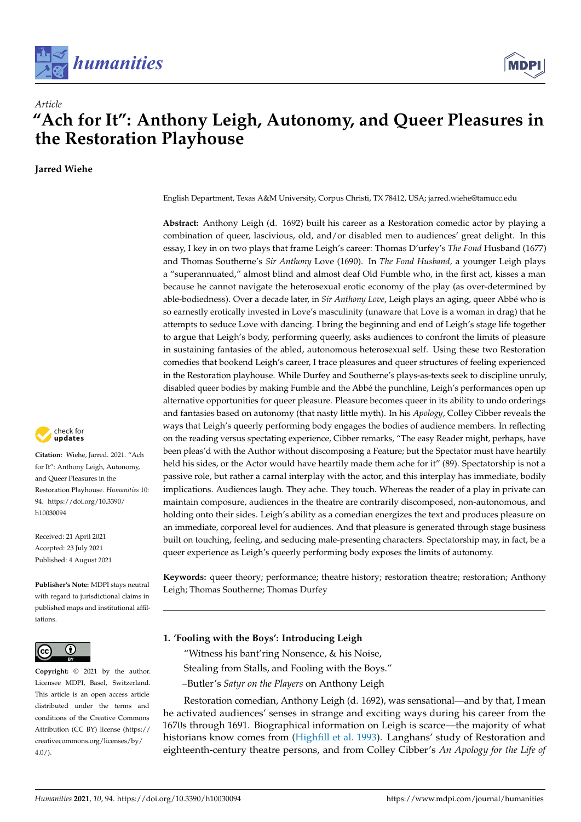



# **"Ach for It": Anthony Leigh, Autonomy, and Queer Pleasures in the Restoration Playhouse**

**Jarred Wiehe**

*Article*



**Citation:** Wiehe, Jarred. 2021. "Ach for It": Anthony Leigh, Autonomy, and Queer Pleasures in the Restoration Playhouse. *Humanities* 10: 94. [https://doi.org/10.3390/](https://doi.org/10.3390/h10030094) [h10030094](https://doi.org/10.3390/h10030094)

Received: 21 April 2021 Accepted: 23 July 2021 Published: 4 August 2021

**Publisher's Note:** MDPI stays neutral with regard to jurisdictional claims in published maps and institutional affiliations.



**Copyright:** © 2021 by the author. Licensee MDPI, Basel, Switzerland. This article is an open access article distributed under the terms and conditions of the Creative Commons Attribution (CC BY) license (https:/[/](https://creativecommons.org/licenses/by/4.0/) [creativecommons.org/licenses/by/](https://creativecommons.org/licenses/by/4.0/)  $4.0/$ ).

English Department, Texas A&M University, Corpus Christi, TX 78412, USA; jarred.wiehe@tamucc.edu

**Abstract:** Anthony Leigh (d. 1692) built his career as a Restoration comedic actor by playing a combination of queer, lascivious, old, and/or disabled men to audiences' great delight. In this essay, I key in on two plays that frame Leigh's career: Thomas D'urfey's *The Fond* Husband (1677) and Thomas Southerne's *Sir Anthony* Love (1690). In *The Fond Husband,* a younger Leigh plays a "superannuated," almost blind and almost deaf Old Fumble who, in the first act, kisses a man because he cannot navigate the heterosexual erotic economy of the play (as over-determined by able-bodiedness). Over a decade later, in *Sir Anthony Love*, Leigh plays an aging, queer Abbé who is so earnestly erotically invested in Love's masculinity (unaware that Love is a woman in drag) that he attempts to seduce Love with dancing. I bring the beginning and end of Leigh's stage life together to argue that Leigh's body, performing queerly, asks audiences to confront the limits of pleasure in sustaining fantasies of the abled, autonomous heterosexual self. Using these two Restoration comedies that bookend Leigh's career, I trace pleasures and queer structures of feeling experienced in the Restoration playhouse. While Durfey and Southerne's plays-as-texts seek to discipline unruly, disabled queer bodies by making Fumble and the Abbé the punchline, Leigh's performances open up alternative opportunities for queer pleasure. Pleasure becomes queer in its ability to undo orderings and fantasies based on autonomy (that nasty little myth). In his *Apology*, Colley Cibber reveals the ways that Leigh's queerly performing body engages the bodies of audience members. In reflecting on the reading versus spectating experience, Cibber remarks, "The easy Reader might, perhaps, have been pleas'd with the Author without discomposing a Feature; but the Spectator must have heartily held his sides, or the Actor would have heartily made them ache for it" (89). Spectatorship is not a passive role, but rather a carnal interplay with the actor, and this interplay has immediate, bodily implications. Audiences laugh. They ache. They touch. Whereas the reader of a play in private can maintain composure, audiences in the theatre are contrarily discomposed, non-autonomous, and holding onto their sides. Leigh's ability as a comedian energizes the text and produces pleasure on an immediate, corporeal level for audiences. And that pleasure is generated through stage business built on touching, feeling, and seducing male-presenting characters. Spectatorship may, in fact, be a queer experience as Leigh's queerly performing body exposes the limits of autonomy.

**Keywords:** queer theory; performance; theatre history; restoration theatre; restoration; Anthony Leigh; Thomas Southerne; Thomas Durfey

## **1. 'Fooling with the Boys': Introducing Leigh**

"Witness his bant'ring Nonsence, & his Noise,

- Stealing from Stalls, and Fooling with the Boys."
- –Butler's *Satyr on the Players* on Anthony Leigh

Restoration comedian, Anthony Leigh (d. 1692), was sensational—and by that, I mean he activated audiences' senses in strange and exciting ways during his career from the 1670s through 1691. Biographical information on Leigh is scarce—the majority of what historians know comes from [\(Highfill et al.](#page-14-0) [1993\)](#page-14-0). Langhans' study of Restoration and eighteenth-century theatre persons, and from Colley Cibber's *An Apology for the Life of*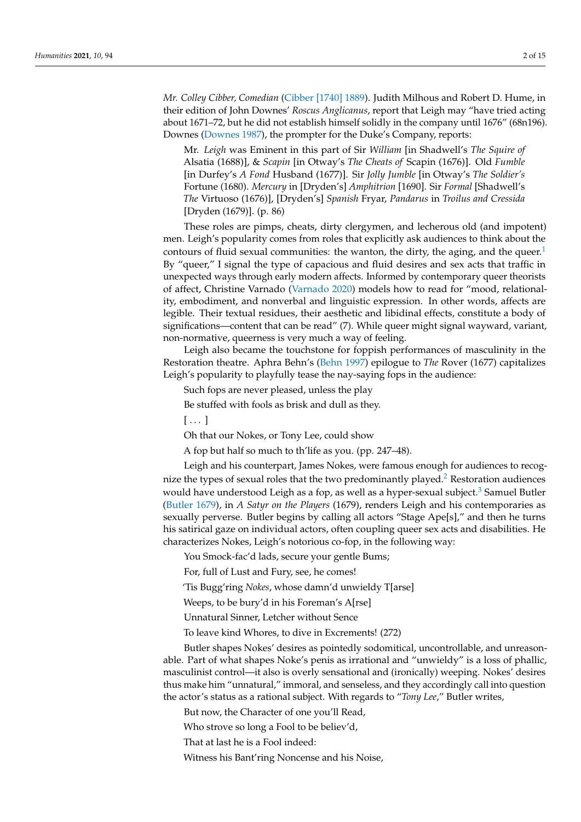*Mr. Colley Cibber, Comedian* [\(Cibber \[1740\]](#page-14-1) [1889\)](#page-14-1). Judith Milhous and Robert D. Hume, in their edition of John Downes' *Roscus Anglicanus*, report that Leigh may "have tried acting about 1671–72, but he did not establish himself solidly in the company until 1676" (68n196). Downes [\(Downes](#page-14-2) [1987\)](#page-14-2), the prompter for the Duke's Company, reports:

<span id="page-1-0"></span>Mr. *Leigh* was Eminent in this part of Sir *William* [in Shadwell's *The Squire of* Alsatia (1688)], & *Scapin* [in Otway's *The Cheats of* Scapin (1676)]. Old *Fumble* [in Durfey's *A Fond* Husband (1677)]. Sir *Jolly Jumble* [in Otway's *The Soldier's* Fortune (1680). *Mercury* in [Dryden's] *Amphitrion* [1690]. Sir *Formal* [Shadwell's *The* Virtuoso (1676)], [Dryden's] *Spanish* Fryar, *Pandarus* in *Troilus and Cressida* [Dryden (1679)]. (p. 86)

These roles are pimps, cheats, dirty clergymen, and lecherous old (and impotent) men. Leigh's popularity comes from roles that explicitly ask audiences to think about the contours of fluid sexual communities: the wanton, the dirty, the aging, and the queer.<sup>[1](#page-11-0)</sup> By "queer," I signal the type of capacious and fluid desires and sex acts that traffic in unexpected ways through early modern affects. Informed by contemporary queer theorists of affect, Christine Varnado [\(Varnado](#page-14-3) [2020\)](#page-14-3) models how to read for "mood, relationality, embodiment, and nonverbal and linguistic expression. In other words, affects are legible. Their textual residues, their aesthetic and libidinal effects, constitute a body of significations—content that can be read" (7). While queer might signal wayward, variant, non-normative, queerness is very much a way of feeling.

Leigh also became the touchstone for foppish performances of masculinity in the Restoration theatre. Aphra Behn's [\(Behn](#page-14-4) [1997\)](#page-14-4) epilogue to *The* Rover (1677) capitalizes Leigh's popularity to playfully tease the nay-saying fops in the audience:

Such fops are never pleased, unless the play

Be stuffed with fools as brisk and dull as they.

 $[\dots]$ 

Oh that our Nokes, or Tony Lee, could show

<span id="page-1-2"></span><span id="page-1-1"></span>A fop but half so much to th'life as you. (pp. 247–48).

Leigh and his counterpart, James Nokes, were famous enough for audiences to recog-nize the types of sexual roles that the two predominantly played.<sup>[2](#page-11-1)</sup> Restoration audiences would have understood Leigh as a fop, as well as a hyper-sexual subject.<sup>[3](#page-12-0)</sup> Samuel Butler [\(Butler](#page-14-5) [1679\)](#page-14-5), in *A Satyr on the Players* (1679), renders Leigh and his contemporaries as sexually perverse. Butler begins by calling all actors "Stage Ape[s]," and then he turns his satirical gaze on individual actors, often coupling queer sex acts and disabilities. He characterizes Nokes, Leigh's notorious co-fop, in the following way:

You Smock-fac'd lads, secure your gentle Bums;

For, full of Lust and Fury, see, he comes!

'Tis Bugg'ring *Nokes*, whose damn'd unwieldy T[arse]

Weeps, to be bury'd in his Foreman's A[rse]

Unnatural Sinner, Letcher without Sence

To leave kind Whores, to dive in Excrements! (272)

Butler shapes Nokes' desires as pointedly sodomitical, uncontrollable, and unreasonable. Part of what shapes Noke's penis as irrational and "unwieldy" is a loss of phallic, masculinist control—it also is overly sensational and (ironically) weeping. Nokes' desires thus make him "unnatural," immoral, and senseless, and they accordingly call into question the actor's status as a rational subject. With regards to "*Tony Lee*," Butler writes,

But now, the Character of one you'll Read,

Who strove so long a Fool to be believ'd,

That at last he is a Fool indeed:

Witness his Bant'ring Noncense and his Noise,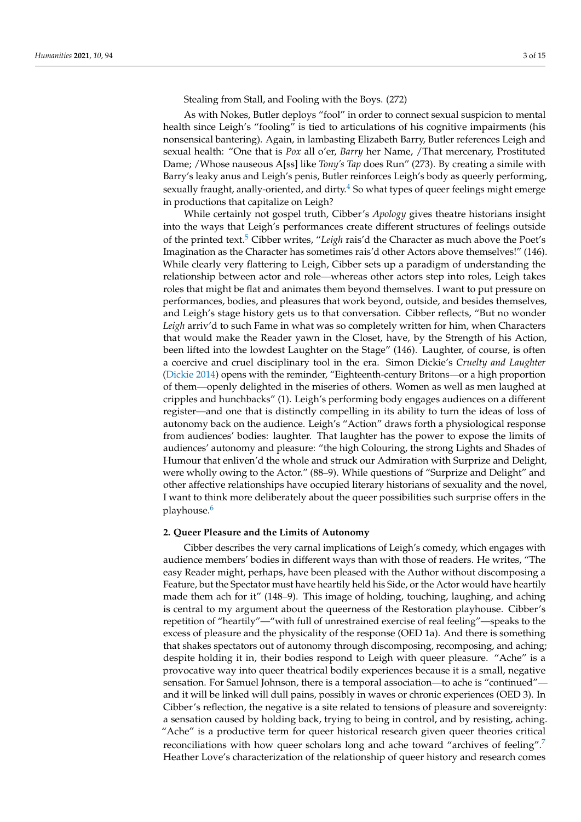Stealing from Stall, and Fooling with the Boys. (272)

As with Nokes, Butler deploys "fool" in order to connect sexual suspicion to mental health since Leigh's "fooling" is tied to articulations of his cognitive impairments (his nonsensical bantering). Again, in lambasting Elizabeth Barry, Butler references Leigh and sexual health: "One that is *Pox* all o'er, *Barry* her Name, /That mercenary, Prostituted Dame; /Whose nauseous A[ss] like *Tony's Tap* does Run" (273). By creating a simile with Barry's leaky anus and Leigh's penis, Butler reinforces Leigh's body as queerly performing, sexually fraught, anally-oriented, and dirty. $4$  So what types of queer feelings might emerge in productions that capitalize on Leigh?

<span id="page-2-1"></span><span id="page-2-0"></span>While certainly not gospel truth, Cibber's *Apology* gives theatre historians insight into the ways that Leigh's performances create different structures of feelings outside of the printed text.<sup>[5](#page-12-2)</sup> Cibber writes, "Leigh rais'd the Character as much above the Poet's Imagination as the Character has sometimes rais'd other Actors above themselves!" (146). While clearly very flattering to Leigh, Cibber sets up a paradigm of understanding the relationship between actor and role—whereas other actors step into roles, Leigh takes roles that might be flat and animates them beyond themselves. I want to put pressure on performances, bodies, and pleasures that work beyond, outside, and besides themselves, and Leigh's stage history gets us to that conversation. Cibber reflects, "But no wonder *Leigh* arriv'd to such Fame in what was so completely written for him, when Characters that would make the Reader yawn in the Closet, have, by the Strength of his Action, been lifted into the lowdest Laughter on the Stage" (146). Laughter, of course, is often a coercive and cruel disciplinary tool in the era. Simon Dickie's *Cruelty and Laughter* [\(Dickie](#page-14-6) [2014\)](#page-14-6) opens with the reminder, "Eighteenth-century Britons—or a high proportion of them—openly delighted in the miseries of others. Women as well as men laughed at cripples and hunchbacks" (1). Leigh's performing body engages audiences on a different register—and one that is distinctly compelling in its ability to turn the ideas of loss of autonomy back on the audience. Leigh's "Action" draws forth a physiological response from audiences' bodies: laughter. That laughter has the power to expose the limits of audiences' autonomy and pleasure: "the high Colouring, the strong Lights and Shades of Humour that enliven'd the whole and struck our Admiration with Surprize and Delight, were wholly owing to the Actor." (88–9). While questions of "Surprize and Delight" and other affective relationships have occupied literary historians of sexuality and the novel, I want to think more deliberately about the queer possibilities such surprise offers in the playhouse.[6](#page-12-3)

## <span id="page-2-2"></span>**2. Queer Pleasure and the Limits of Autonomy**

<span id="page-2-3"></span>Cibber describes the very carnal implications of Leigh's comedy, which engages with audience members' bodies in different ways than with those of readers. He writes, "The easy Reader might, perhaps, have been pleased with the Author without discomposing a Feature, but the Spectator must have heartily held his Side, or the Actor would have heartily made them ach for it" (148–9). This image of holding, touching, laughing, and aching is central to my argument about the queerness of the Restoration playhouse. Cibber's repetition of "heartily"—"with full of unrestrained exercise of real feeling"—speaks to the excess of pleasure and the physicality of the response (OED 1a). And there is something that shakes spectators out of autonomy through discomposing, recomposing, and aching; despite holding it in, their bodies respond to Leigh with queer pleasure. "Ache" is a provocative way into queer theatrical bodily experiences because it is a small, negative sensation. For Samuel Johnson, there is a temporal association—to ache is "continued" and it will be linked will dull pains, possibly in waves or chronic experiences (OED 3). In Cibber's reflection, the negative is a site related to tensions of pleasure and sovereignty: a sensation caused by holding back, trying to being in control, and by resisting, aching. "Ache" is a productive term for queer historical research given queer theories critical reconciliations with how queer scholars long and ache toward "archives of feeling".[7](#page-12-4) Heather Love's characterization of the relationship of queer history and research comes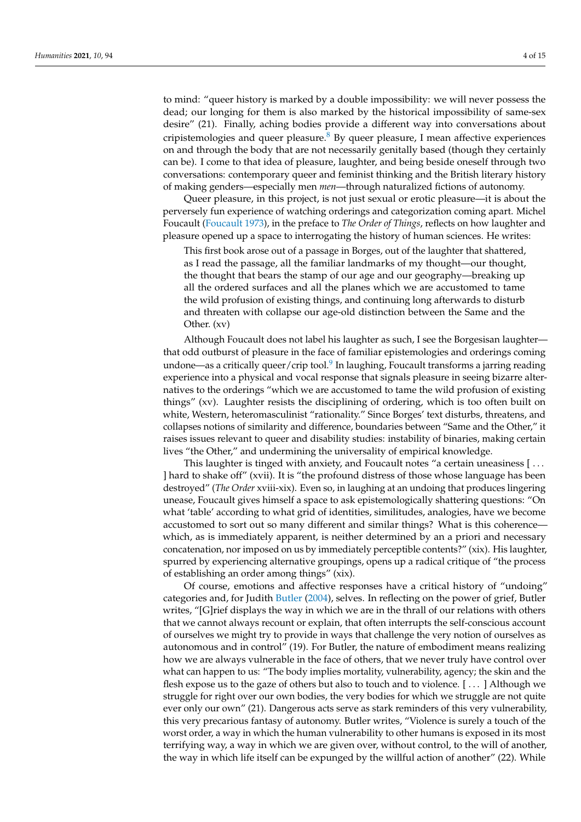<span id="page-3-0"></span>to mind: "queer history is marked by a double impossibility: we will never possess the dead; our longing for them is also marked by the historical impossibility of same-sex desire" (21). Finally, aching bodies provide a different way into conversations about cripistemologies and queer pleasure.<sup>[8](#page-12-5)</sup> By queer pleasure, I mean affective experiences on and through the body that are not necessarily genitally based (though they certainly can be). I come to that idea of pleasure, laughter, and being beside oneself through two conversations: contemporary queer and feminist thinking and the British literary history of making genders—especially men *men*—through naturalized fictions of autonomy.

Queer pleasure, in this project, is not just sexual or erotic pleasure—it is about the perversely fun experience of watching orderings and categorization coming apart. Michel Foucault [\(Foucault](#page-14-7) [1973\)](#page-14-7), in the preface to *The Order of Things*, reflects on how laughter and pleasure opened up a space to interrogating the history of human sciences. He writes:

This first book arose out of a passage in Borges, out of the laughter that shattered, as I read the passage, all the familiar landmarks of my thought—our thought, the thought that bears the stamp of our age and our geography—breaking up all the ordered surfaces and all the planes which we are accustomed to tame the wild profusion of existing things, and continuing long afterwards to disturb and threaten with collapse our age-old distinction between the Same and the Other. (xv)

<span id="page-3-1"></span>Although Foucault does not label his laughter as such, I see the Borgesisan laughter that odd outburst of pleasure in the face of familiar epistemologies and orderings coming undone—as a critically queer/crip tool.<sup>[9](#page-12-6)</sup> In laughing, Foucault transforms a jarring reading experience into a physical and vocal response that signals pleasure in seeing bizarre alternatives to the orderings "which we are accustomed to tame the wild profusion of existing things" (xv). Laughter resists the disciplining of ordering, which is too often built on white, Western, heteromasculinist "rationality." Since Borges' text disturbs, threatens, and collapses notions of similarity and difference, boundaries between "Same and the Other," it raises issues relevant to queer and disability studies: instability of binaries, making certain lives "the Other," and undermining the universality of empirical knowledge.

This laughter is tinged with anxiety, and Foucault notes "a certain uneasiness [ . . . ] hard to shake off" (xvii). It is "the profound distress of those whose language has been destroyed" (*The Order* xviii-xix). Even so, in laughing at an undoing that produces lingering unease, Foucault gives himself a space to ask epistemologically shattering questions: "On what 'table' according to what grid of identities, similitudes, analogies, have we become accustomed to sort out so many different and similar things? What is this coherencewhich, as is immediately apparent, is neither determined by an a priori and necessary concatenation, nor imposed on us by immediately perceptible contents?" (xix). His laughter, spurred by experiencing alternative groupings, opens up a radical critique of "the process of establishing an order among things" (xix).

Of course, emotions and affective responses have a critical history of "undoing" categories and, for Judith [Butler](#page-14-8) [\(2004\)](#page-14-8), selves. In reflecting on the power of grief, Butler writes, "[G]rief displays the way in which we are in the thrall of our relations with others that we cannot always recount or explain, that often interrupts the self-conscious account of ourselves we might try to provide in ways that challenge the very notion of ourselves as autonomous and in control" (19). For Butler, the nature of embodiment means realizing how we are always vulnerable in the face of others, that we never truly have control over what can happen to us: "The body implies mortality, vulnerability, agency; the skin and the flesh expose us to the gaze of others but also to touch and to violence. [ . . . ] Although we struggle for right over our own bodies, the very bodies for which we struggle are not quite ever only our own" (21). Dangerous acts serve as stark reminders of this very vulnerability, this very precarious fantasy of autonomy. Butler writes, "Violence is surely a touch of the worst order, a way in which the human vulnerability to other humans is exposed in its most terrifying way, a way in which we are given over, without control, to the will of another, the way in which life itself can be expunged by the willful action of another" (22). While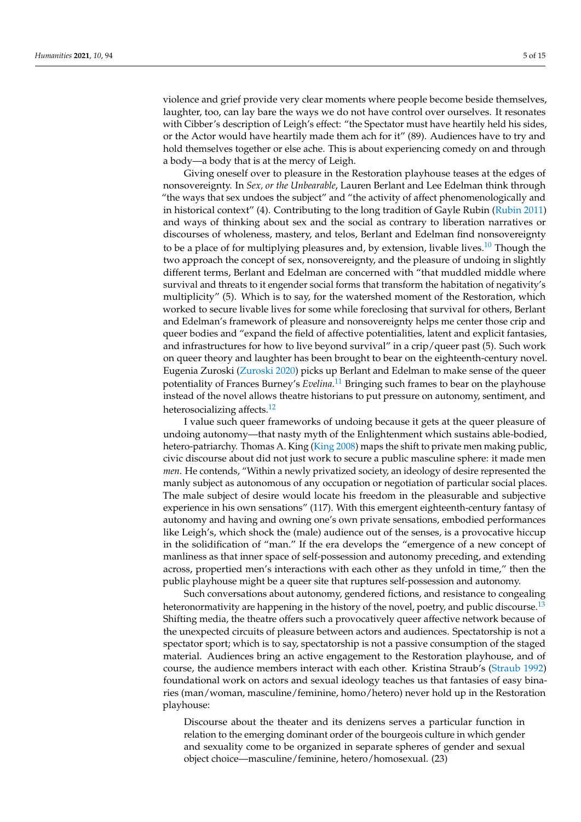violence and grief provide very clear moments where people become beside themselves, laughter, too, can lay bare the ways we do not have control over ourselves. It resonates with Cibber's description of Leigh's effect: "the Spectator must have heartily held his sides, or the Actor would have heartily made them ach for it" (89). Audiences have to try and hold themselves together or else ache. This is about experiencing comedy on and through a body—a body that is at the mercy of Leigh.

<span id="page-4-0"></span>Giving oneself over to pleasure in the Restoration playhouse teases at the edges of nonsovereignty. In *Sex, or the Unbearable*, Lauren Berlant and Lee Edelman think through "the ways that sex undoes the subject" and "the activity of affect phenomenologically and in historical context" (4). Contributing to the long tradition of Gayle Rubin [\(Rubin](#page-14-9) [2011\)](#page-14-9) and ways of thinking about sex and the social as contrary to liberation narratives or discourses of wholeness, mastery, and telos, Berlant and Edelman find nonsovereignty to be a place of for multiplying pleasures and, by extension, livable lives.<sup>[10](#page-12-7)</sup> Though the two approach the concept of sex, nonsovereignty, and the pleasure of undoing in slightly different terms, Berlant and Edelman are concerned with "that muddled middle where survival and threats to it engender social forms that transform the habitation of negativity's multiplicity" (5). Which is to say, for the watershed moment of the Restoration, which worked to secure livable lives for some while foreclosing that survival for others, Berlant and Edelman's framework of pleasure and nonsovereignty helps me center those crip and queer bodies and "expand the field of affective potentialities, latent and explicit fantasies, and infrastructures for how to live beyond survival" in a crip/queer past (5). Such work on queer theory and laughter has been brought to bear on the eighteenth-century novel. Eugenia Zuroski [\(Zuroski](#page-14-10) [2020\)](#page-14-10) picks up Berlant and Edelman to make sense of the queer potentiality of Frances Burney's *Evelina*. [11](#page-12-8) Bringing such frames to bear on the playhouse instead of the novel allows theatre historians to put pressure on autonomy, sentiment, and heterosocializing affects.<sup>[12](#page-12-9)</sup>

<span id="page-4-2"></span><span id="page-4-1"></span>I value such queer frameworks of undoing because it gets at the queer pleasure of undoing autonomy—that nasty myth of the Enlightenment which sustains able-bodied, hetero-patriarchy. Thomas A. King [\(King](#page-14-11) [2008\)](#page-14-11) maps the shift to private men making public, civic discourse about did not just work to secure a public masculine sphere: it made men *men*. He contends, "Within a newly privatized society, an ideology of desire represented the manly subject as autonomous of any occupation or negotiation of particular social places. The male subject of desire would locate his freedom in the pleasurable and subjective experience in his own sensations" (117). With this emergent eighteenth-century fantasy of autonomy and having and owning one's own private sensations, embodied performances like Leigh's, which shock the (male) audience out of the senses, is a provocative hiccup in the solidification of "man." If the era develops the "emergence of a new concept of manliness as that inner space of self-possession and autonomy preceding, and extending across, propertied men's interactions with each other as they unfold in time," then the public playhouse might be a queer site that ruptures self-possession and autonomy.

Such conversations about autonomy, gendered fictions, and resistance to congealing heteronormativity are happening in the history of the novel, poetry, and public discourse.<sup>[13](#page-12-10)</sup> Shifting media, the theatre offers such a provocatively queer affective network because of the unexpected circuits of pleasure between actors and audiences. Spectatorship is not a spectator sport; which is to say, spectatorship is not a passive consumption of the staged material. Audiences bring an active engagement to the Restoration playhouse, and of course, the audience members interact with each other. Kristina Straub's [\(Straub](#page-14-12) [1992\)](#page-14-12) foundational work on actors and sexual ideology teaches us that fantasies of easy binaries (man/woman, masculine/feminine, homo/hetero) never hold up in the Restoration playhouse:

<span id="page-4-3"></span>Discourse about the theater and its denizens serves a particular function in relation to the emerging dominant order of the bourgeois culture in which gender and sexuality come to be organized in separate spheres of gender and sexual object choice—masculine/feminine, hetero/homosexual. (23)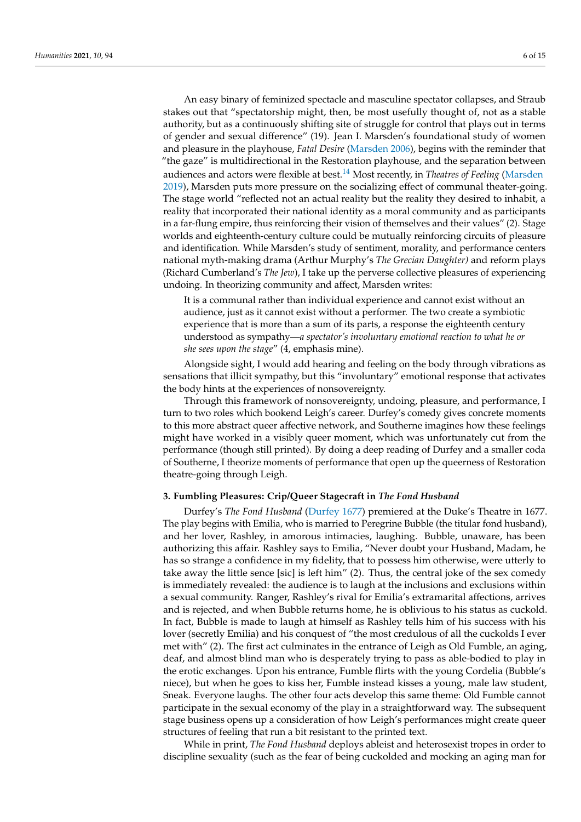<span id="page-5-0"></span>An easy binary of feminized spectacle and masculine spectator collapses, and Straub stakes out that "spectatorship might, then, be most usefully thought of, not as a stable authority, but as a continuously shifting site of struggle for control that plays out in terms of gender and sexual difference" (19). Jean I. Marsden's foundational study of women and pleasure in the playhouse, *Fatal Desire* [\(Marsden](#page-14-13) [2006\)](#page-14-13), begins with the reminder that "the gaze" is multidirectional in the Restoration playhouse, and the separation betwee[n](#page-14-14) audiences and actors were flexible at best.[14](#page-12-11) Most recently, in *Theatres of Feeling* [\(Marsden](#page-14-14) [2019\)](#page-14-14), Marsden puts more pressure on the socializing effect of communal theater-going. The stage world "reflected not an actual reality but the reality they desired to inhabit, a reality that incorporated their national identity as a moral community and as participants in a far-flung empire, thus reinforcing their vision of themselves and their values" (2). Stage worlds and eighteenth-century culture could be mutually reinforcing circuits of pleasure and identification. While Marsden's study of sentiment, morality, and performance centers national myth-making drama (Arthur Murphy's *The Grecian Daughter)* and reform plays (Richard Cumberland's *The Jew*), I take up the perverse collective pleasures of experiencing undoing. In theorizing community and affect, Marsden writes:

It is a communal rather than individual experience and cannot exist without an audience, just as it cannot exist without a performer. The two create a symbiotic experience that is more than a sum of its parts, a response the eighteenth century understood as sympathy—*a spectator's involuntary emotional reaction to what he or she sees upon the stage*" (4, emphasis mine).

Alongside sight, I would add hearing and feeling on the body through vibrations as sensations that illicit sympathy, but this "involuntary" emotional response that activates the body hints at the experiences of nonsovereignty.

Through this framework of nonsovereignty, undoing, pleasure, and performance, I turn to two roles which bookend Leigh's career. Durfey's comedy gives concrete moments to this more abstract queer affective network, and Southerne imagines how these feelings might have worked in a visibly queer moment, which was unfortunately cut from the performance (though still printed). By doing a deep reading of Durfey and a smaller coda of Southerne, I theorize moments of performance that open up the queerness of Restoration theatre-going through Leigh.

## **3. Fumbling Pleasures: Crip/Queer Stagecraft in** *The Fond Husband*

Durfey's *The Fond Husband* [\(Durfey](#page-14-15) [1677\)](#page-14-15) premiered at the Duke's Theatre in 1677. The play begins with Emilia, who is married to Peregrine Bubble (the titular fond husband), and her lover, Rashley, in amorous intimacies, laughing. Bubble, unaware, has been authorizing this affair. Rashley says to Emilia, "Never doubt your Husband, Madam, he has so strange a confidence in my fidelity, that to possess him otherwise, were utterly to take away the little sence [sic] is left him" (2). Thus, the central joke of the sex comedy is immediately revealed: the audience is to laugh at the inclusions and exclusions within a sexual community. Ranger, Rashley's rival for Emilia's extramarital affections, arrives and is rejected, and when Bubble returns home, he is oblivious to his status as cuckold. In fact, Bubble is made to laugh at himself as Rashley tells him of his success with his lover (secretly Emilia) and his conquest of "the most credulous of all the cuckolds I ever met with" (2). The first act culminates in the entrance of Leigh as Old Fumble, an aging, deaf, and almost blind man who is desperately trying to pass as able-bodied to play in the erotic exchanges. Upon his entrance, Fumble flirts with the young Cordelia (Bubble's niece), but when he goes to kiss her, Fumble instead kisses a young, male law student, Sneak. Everyone laughs. The other four acts develop this same theme: Old Fumble cannot participate in the sexual economy of the play in a straightforward way. The subsequent stage business opens up a consideration of how Leigh's performances might create queer structures of feeling that run a bit resistant to the printed text.

While in print, *The Fond Husband* deploys ableist and heterosexist tropes in order to discipline sexuality (such as the fear of being cuckolded and mocking an aging man for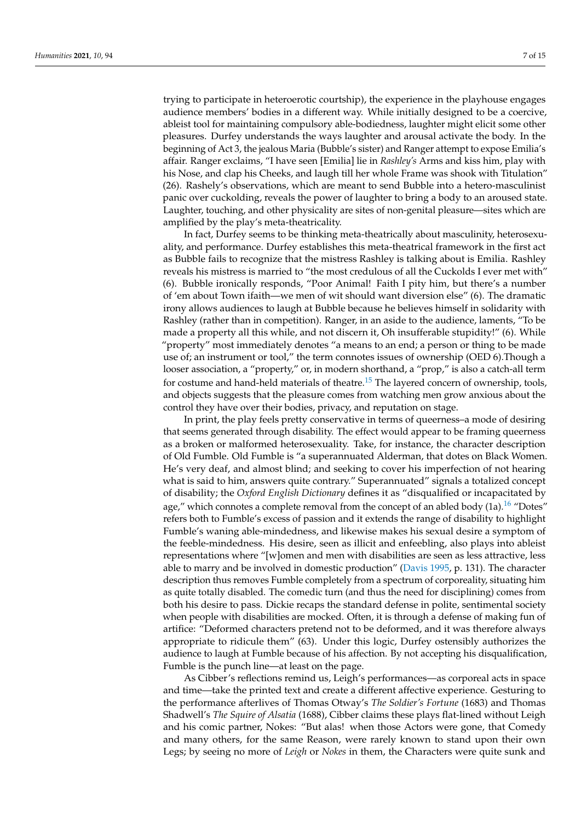trying to participate in heteroerotic courtship), the experience in the playhouse engages audience members' bodies in a different way. While initially designed to be a coercive, ableist tool for maintaining compulsory able-bodiedness, laughter might elicit some other pleasures. Durfey understands the ways laughter and arousal activate the body. In the beginning of Act 3, the jealous Maria (Bubble's sister) and Ranger attempt to expose Emilia's affair. Ranger exclaims, "I have seen [Emilia] lie in *Rashley's* Arms and kiss him, play with his Nose, and clap his Cheeks, and laugh till her whole Frame was shook with Titulation" (26). Rashely's observations, which are meant to send Bubble into a hetero-masculinist panic over cuckolding, reveals the power of laughter to bring a body to an aroused state. Laughter, touching, and other physicality are sites of non-genital pleasure—sites which are amplified by the play's meta-theatricality.

In fact, Durfey seems to be thinking meta-theatrically about masculinity, heterosexuality, and performance. Durfey establishes this meta-theatrical framework in the first act as Bubble fails to recognize that the mistress Rashley is talking about is Emilia. Rashley reveals his mistress is married to "the most credulous of all the Cuckolds I ever met with" (6). Bubble ironically responds, "Poor Animal! Faith I pity him, but there's a number of 'em about Town ifaith—we men of wit should want diversion else" (6). The dramatic irony allows audiences to laugh at Bubble because he believes himself in solidarity with Rashley (rather than in competition). Ranger, in an aside to the audience, laments, "To be made a property all this while, and not discern it, Oh insufferable stupidity!" (6). While "property" most immediately denotes "a means to an end; a person or thing to be made use of; an instrument or tool," the term connotes issues of ownership (OED 6).Though a looser association, a "property," or, in modern shorthand, a "prop," is also a catch-all term for costume and hand-held materials of theatre.<sup>[15](#page-12-12)</sup> The layered concern of ownership, tools, and objects suggests that the pleasure comes from watching men grow anxious about the control they have over their bodies, privacy, and reputation on stage.

<span id="page-6-1"></span><span id="page-6-0"></span>In print, the play feels pretty conservative in terms of queerness–a mode of desiring that seems generated through disability. The effect would appear to be framing queerness as a broken or malformed heterosexuality. Take, for instance, the character description of Old Fumble. Old Fumble is "a superannuated Alderman, that dotes on Black Women. He's very deaf, and almost blind; and seeking to cover his imperfection of not hearing what is said to him, answers quite contrary." Superannuated" signals a totalized concept of disability; the *Oxford English Dictionary* defines it as "disqualified or incapacitated by age," which connotes a complete removal from the concept of an abled body  $(1a)$ .<sup>[16](#page-13-0)</sup> "Dotes" refers both to Fumble's excess of passion and it extends the range of disability to highlight Fumble's waning able-mindedness, and likewise makes his sexual desire a symptom of the feeble-mindedness. His desire, seen as illicit and enfeebling, also plays into ableist representations where "[w]omen and men with disabilities are seen as less attractive, less able to marry and be involved in domestic production" [\(Davis](#page-14-16) [1995,](#page-14-16) p. 131). The character description thus removes Fumble completely from a spectrum of corporeality, situating him as quite totally disabled. The comedic turn (and thus the need for disciplining) comes from both his desire to pass. Dickie recaps the standard defense in polite, sentimental society when people with disabilities are mocked. Often, it is through a defense of making fun of artifice: "Deformed characters pretend not to be deformed, and it was therefore always appropriate to ridicule them" (63). Under this logic, Durfey ostensibly authorizes the audience to laugh at Fumble because of his affection. By not accepting his disqualification, Fumble is the punch line—at least on the page.

As Cibber's reflections remind us, Leigh's performances—as corporeal acts in space and time—take the printed text and create a different affective experience. Gesturing to the performance afterlives of Thomas Otway's *The Soldier's Fortune* (1683) and Thomas Shadwell's *The Squire of Alsatia* (1688), Cibber claims these plays flat-lined without Leigh and his comic partner, Nokes: "But alas! when those Actors were gone, that Comedy and many others, for the same Reason, were rarely known to stand upon their own Legs; by seeing no more of *Leigh* or *Nokes* in them, the Characters were quite sunk and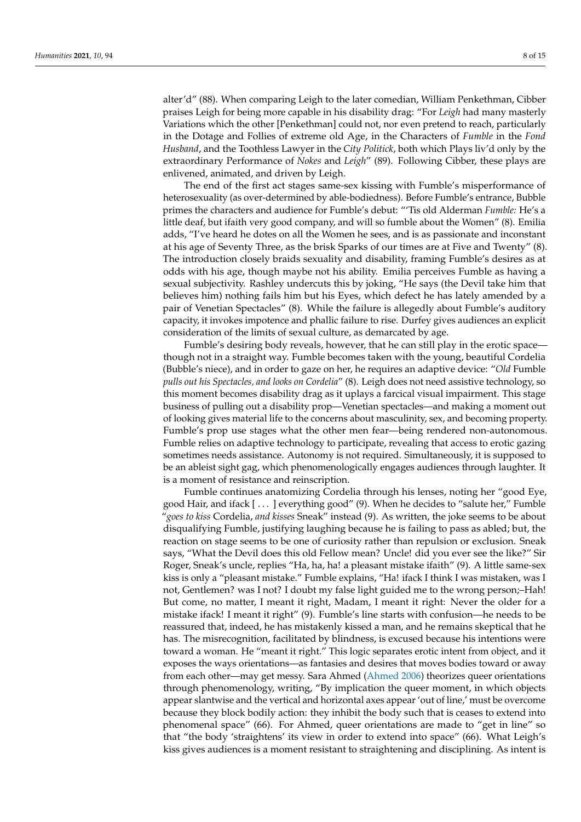alter'd" (88). When comparing Leigh to the later comedian, William Penkethman, Cibber praises Leigh for being more capable in his disability drag: "For *Leigh* had many masterly Variations which the other [Penkethman] could not, nor even pretend to reach, particularly in the Dotage and Follies of extreme old Age, in the Characters of *Fumble* in the *Fond Husband*, and the Toothless Lawyer in the *City Politick*, both which Plays liv'd only by the extraordinary Performance of *Nokes* and *Leigh*" (89). Following Cibber, these plays are enlivened, animated, and driven by Leigh.

The end of the first act stages same-sex kissing with Fumble's misperformance of heterosexuality (as over-determined by able-bodiedness). Before Fumble's entrance, Bubble primes the characters and audience for Fumble's debut: "'Tis old Alderman *Fumble:* He's a little deaf, but ifaith very good company, and will so fumble about the Women" (8). Emilia adds, "I've heard he dotes on all the Women he sees, and is as passionate and inconstant at his age of Seventy Three, as the brisk Sparks of our times are at Five and Twenty" (8). The introduction closely braids sexuality and disability, framing Fumble's desires as at odds with his age, though maybe not his ability. Emilia perceives Fumble as having a sexual subjectivity. Rashley undercuts this by joking, "He says (the Devil take him that believes him) nothing fails him but his Eyes, which defect he has lately amended by a pair of Venetian Spectacles" (8). While the failure is allegedly about Fumble's auditory capacity, it invokes impotence and phallic failure to rise. Durfey gives audiences an explicit consideration of the limits of sexual culture, as demarcated by age.

Fumble's desiring body reveals, however, that he can still play in the erotic space though not in a straight way. Fumble becomes taken with the young, beautiful Cordelia (Bubble's niece), and in order to gaze on her, he requires an adaptive device: "*Old* Fumble *pulls out his Spectacles, and looks on Cordelia*" (8). Leigh does not need assistive technology, so this moment becomes disability drag as it uplays a farcical visual impairment. This stage business of pulling out a disability prop—Venetian spectacles—and making a moment out of looking gives material life to the concerns about masculinity, sex, and becoming property. Fumble's prop use stages what the other men fear—being rendered non-autonomous. Fumble relies on adaptive technology to participate, revealing that access to erotic gazing sometimes needs assistance. Autonomy is not required. Simultaneously, it is supposed to be an ableist sight gag, which phenomenologically engages audiences through laughter. It is a moment of resistance and reinscription.

Fumble continues anatomizing Cordelia through his lenses, noting her "good Eye, good Hair, and ifack [ . . . ] everything good" (9). When he decides to "salute her," Fumble "*goes to kiss* Cordelia, *and kisses* Sneak" instead (9). As written, the joke seems to be about disqualifying Fumble, justifying laughing because he is failing to pass as abled; but, the reaction on stage seems to be one of curiosity rather than repulsion or exclusion. Sneak says, "What the Devil does this old Fellow mean? Uncle! did you ever see the like?" Sir Roger, Sneak's uncle, replies "Ha, ha, ha! a pleasant mistake ifaith" (9). A little same-sex kiss is only a "pleasant mistake." Fumble explains, "Ha! ifack I think I was mistaken, was I not, Gentlemen? was I not? I doubt my false light guided me to the wrong person;–Hah! But come, no matter, I meant it right, Madam, I meant it right: Never the older for a mistake ifack! I meant it right" (9). Fumble's line starts with confusion—he needs to be reassured that, indeed, he has mistakenly kissed a man, and he remains skeptical that he has. The misrecognition, facilitated by blindness, is excused because his intentions were toward a woman. He "meant it right." This logic separates erotic intent from object, and it exposes the ways orientations—as fantasies and desires that moves bodies toward or away from each other—may get messy. Sara Ahmed [\(Ahmed](#page-14-17) [2006\)](#page-14-17) theorizes queer orientations through phenomenology, writing, "By implication the queer moment, in which objects appear slantwise and the vertical and horizontal axes appear 'out of line,' must be overcome because they block bodily action: they inhibit the body such that is ceases to extend into phenomenal space" (66). For Ahmed, queer orientations are made to "get in line" so that "the body 'straightens' its view in order to extend into space" (66). What Leigh's kiss gives audiences is a moment resistant to straightening and disciplining. As intent is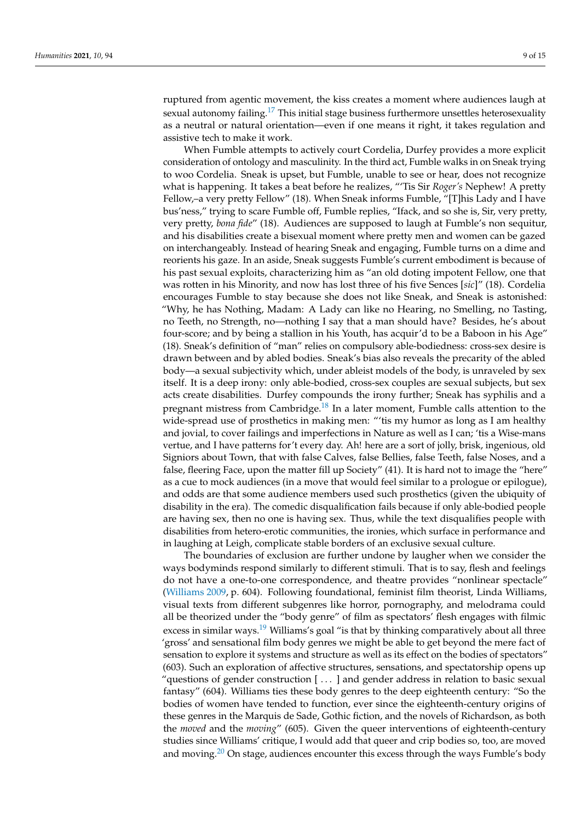<span id="page-8-0"></span>ruptured from agentic movement, the kiss creates a moment where audiences laugh at sexual autonomy failing.<sup>[17](#page-13-1)</sup> This initial stage business furthermore unsettles heterosexuality as a neutral or natural orientation—even if one means it right, it takes regulation and assistive tech to make it work.

When Fumble attempts to actively court Cordelia, Durfey provides a more explicit consideration of ontology and masculinity. In the third act, Fumble walks in on Sneak trying to woo Cordelia. Sneak is upset, but Fumble, unable to see or hear, does not recognize what is happening. It takes a beat before he realizes, "'Tis Sir *Roger's* Nephew! A pretty Fellow,–a very pretty Fellow" (18). When Sneak informs Fumble, "[T]his Lady and I have bus'ness," trying to scare Fumble off, Fumble replies, "Ifack, and so she is, Sir, very pretty, very pretty, *bona fide*" (18). Audiences are supposed to laugh at Fumble's non sequitur, and his disabilities create a bisexual moment where pretty men and women can be gazed on interchangeably. Instead of hearing Sneak and engaging, Fumble turns on a dime and reorients his gaze. In an aside, Sneak suggests Fumble's current embodiment is because of his past sexual exploits, characterizing him as "an old doting impotent Fellow, one that was rotten in his Minority, and now has lost three of his five Sences [*sic*]" (18). Cordelia encourages Fumble to stay because she does not like Sneak, and Sneak is astonished: "Why, he has Nothing, Madam: A Lady can like no Hearing, no Smelling, no Tasting, no Teeth, no Strength, no—nothing I say that a man should have? Besides, he's about four-score; and by being a stallion in his Youth, has acquir'd to be a Baboon in his Age" (18). Sneak's definition of "man" relies on compulsory able-bodiedness: cross-sex desire is drawn between and by abled bodies. Sneak's bias also reveals the precarity of the abled body—a sexual subjectivity which, under ableist models of the body, is unraveled by sex itself. It is a deep irony: only able-bodied, cross-sex couples are sexual subjects, but sex acts create disabilities. Durfey compounds the irony further; Sneak has syphilis and a pregnant mistress from Cambridge. $18$  In a later moment, Fumble calls attention to the wide-spread use of prosthetics in making men: "'tis my humor as long as I am healthy and jovial, to cover failings and imperfections in Nature as well as I can; 'tis a Wise-mans vertue, and I have patterns for't every day. Ah! here are a sort of jolly, brisk, ingenious, old Signiors about Town, that with false Calves, false Bellies, false Teeth, false Noses, and a false, fleering Face, upon the matter fill up Society" (41). It is hard not to image the "here" as a cue to mock audiences (in a move that would feel similar to a prologue or epilogue), and odds are that some audience members used such prosthetics (given the ubiquity of disability in the era). The comedic disqualification fails because if only able-bodied people are having sex, then no one is having sex. Thus, while the text disqualifies people with disabilities from hetero-erotic communities, the ironies, which surface in performance and in laughing at Leigh, complicate stable borders of an exclusive sexual culture.

<span id="page-8-3"></span><span id="page-8-2"></span><span id="page-8-1"></span>The boundaries of exclusion are further undone by laugher when we consider the ways bodyminds respond similarly to different stimuli. That is to say, flesh and feelings do not have a one-to-one correspondence, and theatre provides "nonlinear spectacle" [\(Williams](#page-14-18) [2009,](#page-14-18) p. 604). Following foundational, feminist film theorist, Linda Williams, visual texts from different subgenres like horror, pornography, and melodrama could all be theorized under the "body genre" of film as spectators' flesh engages with filmic excess in similar ways.<sup>[19](#page-13-3)</sup> Williams's goal "is that by thinking comparatively about all three 'gross' and sensational film body genres we might be able to get beyond the mere fact of sensation to explore it systems and structure as well as its effect on the bodies of spectators" (603). Such an exploration of affective structures, sensations, and spectatorship opens up "questions of gender construction  $[\ldots]$  and gender address in relation to basic sexual fantasy" (604). Williams ties these body genres to the deep eighteenth century: "So the bodies of women have tended to function, ever since the eighteenth-century origins of these genres in the Marquis de Sade, Gothic fiction, and the novels of Richardson, as both the *moved* and the *moving*" (605). Given the queer interventions of eighteenth-century studies since Williams' critique, I would add that queer and crip bodies so, too, are moved and moving. $20$  On stage, audiences encounter this excess through the ways Fumble's body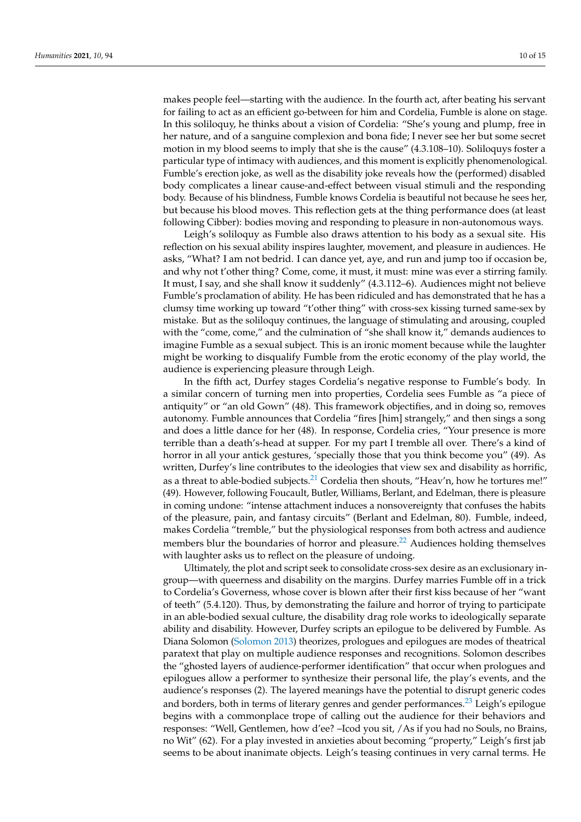makes people feel—starting with the audience. In the fourth act, after beating his servant for failing to act as an efficient go-between for him and Cordelia, Fumble is alone on stage. In this soliloquy, he thinks about a vision of Cordelia: "She's young and plump, free in her nature, and of a sanguine complexion and bona fide; I never see her but some secret motion in my blood seems to imply that she is the cause" (4.3.108–10). Soliloquys foster a particular type of intimacy with audiences, and this moment is explicitly phenomenological. Fumble's erection joke, as well as the disability joke reveals how the (performed) disabled body complicates a linear cause-and-effect between visual stimuli and the responding body. Because of his blindness, Fumble knows Cordelia is beautiful not because he sees her, but because his blood moves. This reflection gets at the thing performance does (at least following Cibber): bodies moving and responding to pleasure in non-autonomous ways.

Leigh's soliloquy as Fumble also draws attention to his body as a sexual site. His reflection on his sexual ability inspires laughter, movement, and pleasure in audiences. He asks, "What? I am not bedrid. I can dance yet, aye, and run and jump too if occasion be, and why not t'other thing? Come, come, it must, it must: mine was ever a stirring family. It must, I say, and she shall know it suddenly" (4.3.112–6). Audiences might not believe Fumble's proclamation of ability. He has been ridiculed and has demonstrated that he has a clumsy time working up toward "t'other thing" with cross-sex kissing turned same-sex by mistake. But as the soliloquy continues, the language of stimulating and arousing, coupled with the "come, come," and the culmination of "she shall know it," demands audiences to imagine Fumble as a sexual subject. This is an ironic moment because while the laughter might be working to disqualify Fumble from the erotic economy of the play world, the audience is experiencing pleasure through Leigh.

In the fifth act, Durfey stages Cordelia's negative response to Fumble's body. In a similar concern of turning men into properties, Cordelia sees Fumble as "a piece of antiquity" or "an old Gown" (48). This framework objectifies, and in doing so, removes autonomy. Fumble announces that Cordelia "fires [him] strangely," and then sings a song and does a little dance for her (48). In response, Cordelia cries, "Your presence is more terrible than a death's-head at supper. For my part I tremble all over. There's a kind of horror in all your antick gestures, 'specially those that you think become you" (49). As written, Durfey's line contributes to the ideologies that view sex and disability as horrific, as a threat to able-bodied subjects.<sup>[21](#page-13-5)</sup> Cordelia then shouts, "Heav'n, how he tortures me!" (49). However, following Foucault, Butler, Williams, Berlant, and Edelman, there is pleasure in coming undone: "intense attachment induces a nonsovereignty that confuses the habits of the pleasure, pain, and fantasy circuits" (Berlant and Edelman, 80). Fumble, indeed, makes Cordelia "tremble," but the physiological responses from both actress and audience members blur the boundaries of horror and pleasure.<sup>[22](#page-13-6)</sup> Audiences holding themselves with laughter asks us to reflect on the pleasure of undoing.

<span id="page-9-2"></span><span id="page-9-1"></span><span id="page-9-0"></span>Ultimately, the plot and script seek to consolidate cross-sex desire as an exclusionary ingroup—with queerness and disability on the margins. Durfey marries Fumble off in a trick to Cordelia's Governess, whose cover is blown after their first kiss because of her "want of teeth" (5.4.120). Thus, by demonstrating the failure and horror of trying to participate in an able-bodied sexual culture, the disability drag role works to ideologically separate ability and disability. However, Durfey scripts an epilogue to be delivered by Fumble. As Diana Solomon [\(Solomon](#page-14-19) [2013\)](#page-14-19) theorizes, prologues and epilogues are modes of theatrical paratext that play on multiple audience responses and recognitions. Solomon describes the "ghosted layers of audience-performer identification" that occur when prologues and epilogues allow a performer to synthesize their personal life, the play's events, and the audience's responses (2). The layered meanings have the potential to disrupt generic codes and borders, both in terms of literary genres and gender performances.<sup>[23](#page-13-7)</sup> Leigh's epilogue begins with a commonplace trope of calling out the audience for their behaviors and responses: "Well, Gentlemen, how d'ee? –Icod you sit, /As if you had no Souls, no Brains, no Wit" (62). For a play invested in anxieties about becoming "property," Leigh's first jab seems to be about inanimate objects. Leigh's teasing continues in very carnal terms. He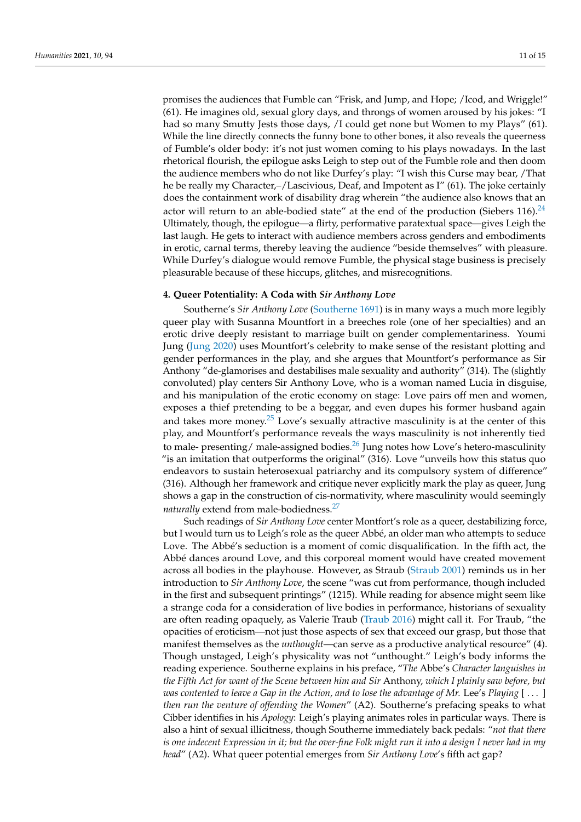promises the audiences that Fumble can "Frisk, and Jump, and Hope; /Icod, and Wriggle!" (61). He imagines old, sexual glory days, and throngs of women aroused by his jokes: "I had so many Smutty Jests those days, /I could get none but Women to my Plays" (61). While the line directly connects the funny bone to other bones, it also reveals the queerness of Fumble's older body: it's not just women coming to his plays nowadays. In the last rhetorical flourish, the epilogue asks Leigh to step out of the Fumble role and then doom the audience members who do not like Durfey's play: "I wish this Curse may bear, /That he be really my Character,–/Lascivious, Deaf, and Impotent as I" (61). The joke certainly does the containment work of disability drag wherein "the audience also knows that an actor will return to an able-bodied state" at the end of the production (Siebers 116).<sup>[24](#page-13-8)</sup> Ultimately, though, the epilogue—a flirty, performative paratextual space—gives Leigh the last laugh. He gets to interact with audience members across genders and embodiments in erotic, carnal terms, thereby leaving the audience "beside themselves" with pleasure. While Durfey's dialogue would remove Fumble, the physical stage business is precisely pleasurable because of these hiccups, glitches, and misrecognitions.

## <span id="page-10-0"></span>**4. Queer Potentiality: A Coda with** *Sir Anthony Love*

Southerne's *Sir Anthony Love* [\(Southerne](#page-14-20) [1691\)](#page-14-20) is in many ways a much more legibly queer play with Susanna Mountfort in a breeches role (one of her specialties) and an erotic drive deeply resistant to marriage built on gender complementariness. Youmi Jung [\(Jung](#page-14-21) [2020\)](#page-14-21) uses Mountfort's celebrity to make sense of the resistant plotting and gender performances in the play, and she argues that Mountfort's performance as Sir Anthony "de-glamorises and destabilises male sexuality and authority" (314). The (slightly convoluted) play centers Sir Anthony Love, who is a woman named Lucia in disguise, and his manipulation of the erotic economy on stage: Love pairs off men and women, exposes a thief pretending to be a beggar, and even dupes his former husband again and takes more money.<sup>[25](#page-13-9)</sup> Love's sexually attractive masculinity is at the center of this play, and Mountfort's performance reveals the ways masculinity is not inherently tied to male- presenting/ male-assigned bodies. $^{26}$  $^{26}$  $^{26}$  Jung notes how Love's hetero-masculinity "is an imitation that outperforms the original" (316). Love "unveils how this status quo endeavors to sustain heterosexual patriarchy and its compulsory system of difference" (316). Although her framework and critique never explicitly mark the play as queer, Jung shows a gap in the construction of cis-normativity, where masculinity would seemingly *naturally* extend from male-bodiedness.<sup>[27](#page-14-22)</sup>

<span id="page-10-3"></span><span id="page-10-2"></span><span id="page-10-1"></span>Such readings of *Sir Anthony Love* center Montfort's role as a queer, destabilizing force, but I would turn us to Leigh's role as the queer Abbé, an older man who attempts to seduce Love. The Abbé's seduction is a moment of comic disqualification. In the fifth act, the Abbé dances around Love, and this corporeal moment would have created movement across all bodies in the playhouse. However, as Straub [\(Straub](#page-14-23) [2001\)](#page-14-23) reminds us in her introduction to *Sir Anthony Love*, the scene "was cut from performance, though included in the first and subsequent printings" (1215). While reading for absence might seem like a strange coda for a consideration of live bodies in performance, historians of sexuality are often reading opaquely, as Valerie Traub [\(Traub](#page-14-24) [2016\)](#page-14-24) might call it. For Traub, "the opacities of eroticism—not just those aspects of sex that exceed our grasp, but those that manifest themselves as the *unthought*—can serve as a productive analytical resource" (4). Though unstaged, Leigh's physicality was not "unthought." Leigh's body informs the reading experience. Southerne explains in his preface, "*The* Abbe's *Character languishes in the Fifth Act for want of the Scene between him and Sir* Anthony, *which I plainly saw before, but was contented to leave a Gap in the Action, and to lose the advantage of Mr.* Lee's *Playing* [ . . . ] *then run the venture of offending the Women*" (A2). Southerne's prefacing speaks to what Cibber identifies in his *Apology*: Leigh's playing animates roles in particular ways. There is also a hint of sexual illicitness, though Southerne immediately back pedals: "*not that there is one indecent Expression in it; but the over-fine Folk might run it into a design I never had in my head*" (A2). What queer potential emerges from *Sir Anthony Love*'s fifth act gap?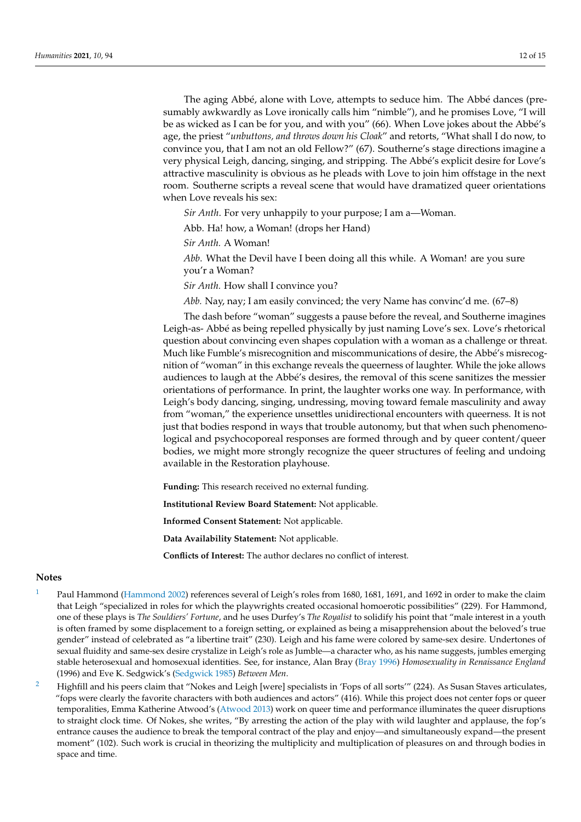The aging Abbé, alone with Love, attempts to seduce him. The Abbé dances (presumably awkwardly as Love ironically calls him "nimble"), and he promises Love, "I will be as wicked as I can be for you, and with you" (66). When Love jokes about the Abbé's age, the priest "*unbuttons, and throws down his Cloak*" and retorts, "What shall I do now, to convince you, that I am not an old Fellow?" (67). Southerne's stage directions imagine a very physical Leigh, dancing, singing, and stripping. The Abbé's explicit desire for Love's attractive masculinity is obvious as he pleads with Love to join him offstage in the next room. Southerne scripts a reveal scene that would have dramatized queer orientations when Love reveals his sex:

*Sir Anth*. For very unhappily to your purpose; I am a—Woman.

Abb. Ha! how, a Woman! (drops her Hand)

*Sir Anth.* A Woman!

*Abb*. What the Devil have I been doing all this while. A Woman! are you sure you'r a Woman?

*Sir Anth.* How shall I convince you?

*Abb.* Nay, nay; I am easily convinced; the very Name has convinc'd me. (67–8)

The dash before "woman" suggests a pause before the reveal, and Southerne imagines Leigh-as- Abbé as being repelled physically by just naming Love's sex. Love's rhetorical question about convincing even shapes copulation with a woman as a challenge or threat. Much like Fumble's misrecognition and miscommunications of desire, the Abbé's misrecognition of "woman" in this exchange reveals the queerness of laughter. While the joke allows audiences to laugh at the Abbé's desires, the removal of this scene sanitizes the messier orientations of performance. In print, the laughter works one way. In performance, with Leigh's body dancing, singing, undressing, moving toward female masculinity and away from "woman," the experience unsettles unidirectional encounters with queerness. It is not just that bodies respond in ways that trouble autonomy, but that when such phenomenological and psychocoporeal responses are formed through and by queer content/queer bodies, we might more strongly recognize the queer structures of feeling and undoing available in the Restoration playhouse.

**Funding:** This research received no external funding.

**Institutional Review Board Statement:** Not applicable.

**Informed Consent Statement:** Not applicable.

**Data Availability Statement:** Not applicable.

**Conflicts of Interest:** The author declares no conflict of interest.

## **Notes**

- <span id="page-11-0"></span>[1](#page-1-0) Paul Hammond [\(Hammond](#page-14-25) [2002\)](#page-14-25) references several of Leigh's roles from 1680, 1681, 1691, and 1692 in order to make the claim that Leigh "specialized in roles for which the playwrights created occasional homoerotic possibilities" (229). For Hammond, one of these plays is *The Souldiers' Fortune*, and he uses Durfey's *The Royalist* to solidify his point that "male interest in a youth is often framed by some displacement to a foreign setting, or explained as being a misapprehension about the beloved's true gender" instead of celebrated as "a libertine trait" (230). Leigh and his fame were colored by same-sex desire. Undertones of sexual fluidity and same-sex desire crystalize in Leigh's role as Jumble—a character who, as his name suggests, jumbles emerging stable heterosexual and homosexual identities. See, for instance, Alan Bray [\(Bray](#page-14-26) [1996\)](#page-14-26) *Homosexuality in Renaissance England* (1996) and Eve K. Sedgwick's [\(Sedgwick](#page-14-27) [1985\)](#page-14-27) *Between Men*.
- <span id="page-11-1"></span><sup>[2](#page-1-1)</sup> Highfill and his peers claim that "Nokes and Leigh [were] specialists in 'Fops of all sorts'" (224). As Susan Staves articulates, "fops were clearly the favorite characters with both audiences and actors" (416). While this project does not center fops or queer temporalities, Emma Katherine Atwood's [\(Atwood](#page-14-28) [2013\)](#page-14-28) work on queer time and performance illuminates the queer disruptions to straight clock time. Of Nokes, she writes, "By arresting the action of the play with wild laughter and applause, the fop's entrance causes the audience to break the temporal contract of the play and enjoy—and simultaneously expand—the present moment" (102). Such work is crucial in theorizing the multiplicity and multiplication of pleasures on and through bodies in space and time.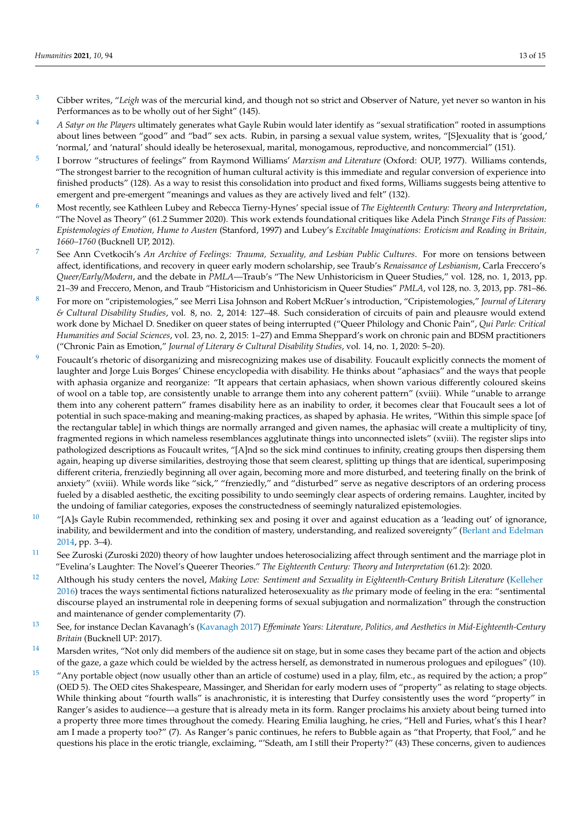- <span id="page-12-0"></span><sup>[3](#page-1-2)</sup> Cibber writes, "Leigh was of the mercurial kind, and though not so strict and Observer of Nature, yet never so wanton in his Performances as to be wholly out of her Sight" (145).
- <span id="page-12-1"></span>[4](#page-2-0) *A Satyr on the Players* ultimately generates what Gayle Rubin would later identify as "sexual stratification" rooted in assumptions about lines between "good" and "bad" sex acts. Rubin, in parsing a sexual value system, writes, "[S]exuality that is 'good,' 'normal,' and 'natural' should ideally be heterosexual, marital, monogamous, reproductive, and noncommercial" (151).
- <span id="page-12-2"></span>[5](#page-2-1) I borrow "structures of feelings" from Raymond Williams' *Marxism and Literature* (Oxford: OUP, 1977). Williams contends, "The strongest barrier to the recognition of human cultural activity is this immediate and regular conversion of experience into finished products" (128). As a way to resist this consolidation into product and fixed forms, Williams suggests being attentive to emergent and pre-emergent "meanings and values as they are actively lived and felt" (132).
- <span id="page-12-3"></span>[6](#page-2-2) Most recently, see Kathleen Lubey and Rebecca Tierny-Hynes' special issue of *The Eighteenth Century: Theory and Interpretation*, "The Novel as Theory" (61.2 Summer 2020). This work extends foundational critiques like Adela Pinch *Strange Fits of Passion: Epistemologies of Emotion, Hume to Austen* (Stanford, 1997) and Lubey's *Excitable Imaginations: Eroticism and Reading in Britain, 1660–1760* (Bucknell UP, 2012).
- <span id="page-12-4"></span>[7](#page-2-3) See Ann Cvetkocih's *An Archive of Feelings: Trauma, Sexuality, and Lesbian Public Cultures*. For more on tensions between affect, identifications, and recovery in queer early modern scholarship, see Traub's *Renaissance of Lesbianism*, Carla Freccero's *Queer/Early/Modern*, and the debate in *PMLA*—Traub's "The New Unhistoricism in Queer Studies," vol. 128, no. 1, 2013, pp. 21–39 and Freccero, Menon, and Traub "Historicism and Unhistoricism in Queer Studies" *PMLA*, vol 128, no. 3, 2013, pp. 781–86.
- <span id="page-12-5"></span>[8](#page-3-0) For more on "cripistemologies," see Merri Lisa Johnson and Robert McRuer's introduction, "Cripistemologies," *Journal of Literary & Cultural Disability Studies*, vol. 8, no. 2, 2014: 127–48. Such consideration of circuits of pain and pleausre would extend work done by Michael D. Snediker on queer states of being interrupted ("Queer Philology and Chonic Pain", *Qui Parle: Critical Humanities and Social Sciences*, vol. 23, no. 2, 2015: 1–27) and Emma Sheppard's work on chronic pain and BDSM practitioners ("Chronic Pain as Emotion," *Journal of Literary & Cultural Disability Studies*, vol. 14, no. 1, 2020: 5–20).
- <span id="page-12-6"></span><sup>[9](#page-3-1)</sup> Foucault's rhetoric of disorganizing and misrecognizing makes use of disability. Foucault explicitly connects the moment of laughter and Jorge Luis Borges' Chinese encyclopedia with disability. He thinks about "aphasiacs" and the ways that people with aphasia organize and reorganize: "It appears that certain aphasiacs, when shown various differently coloured skeins of wool on a table top, are consistently unable to arrange them into any coherent pattern" (xviii). While "unable to arrange them into any coherent pattern" frames disability here as an inability to order, it becomes clear that Foucault sees a lot of potential in such space-making and meaning-making practices, as shaped by aphasia. He writes, "Within this simple space [of the rectangular table] in which things are normally arranged and given names, the aphasiac will create a multiplicity of tiny, fragmented regions in which nameless resemblances agglutinate things into unconnected islets" (xviii). The register slips into pathologized descriptions as Foucault writes, "[A]nd so the sick mind continues to infinity, creating groups then dispersing them again, heaping up diverse similarities, destroying those that seem clearest, splitting up things that are identical, superimposing different criteria, frenziedly beginning all over again, becoming more and more disturbed, and teetering finally on the brink of anxiety" (xviii). While words like "sick," "frenziedly," and "disturbed" serve as negative descriptors of an ordering process fueled by a disabled aesthetic, the exciting possibility to undo seemingly clear aspects of ordering remains. Laughter, incited by the undoing of familiar categories, exposes the constructedness of seemingly naturalized epistemologies.
- <span id="page-12-7"></span> $10$  "[A]s Gayle Rubin recommended, rethinking sex and posing it over and against education as a 'leading out' of ignorance, inability, and bewilderment and into the condition of mastery, understanding, and realized sovereignty" [\(Berlant and Edelman](#page-14-29) [2014,](#page-14-29) pp. 3–4).
- <span id="page-12-8"></span><sup>[11](#page-4-1)</sup> See Zuroski (Zuroski 2020) theory of how laughter undoes heterosocializing affect through sentiment and the marriage plot in "Evelina's Laughter: The Novel's Queerer Theories." *The Eighteenth Century: Theory and Interpretation* (61.2): 2020.
- <span id="page-12-9"></span><sup>[12](#page-4-2)</sup> Although his study centers the novel, *Making Love: Sentiment and Sexuality in Eighteenth-Century British Literature* [\(Kelleher](#page-14-30) [2016\)](#page-14-30) traces the ways sentimental fictions naturalized heterosexuality as *the* primary mode of feeling in the era: "sentimental discourse played an instrumental role in deepening forms of sexual subjugation and normalization" through the construction and maintenance of gender complementarity (7).
- <span id="page-12-10"></span>[13](#page-4-3) See, for instance Declan Kavanagh's [\(Kavanagh](#page-14-31) [2017\)](#page-14-31) *Effeminate Years: Literature, Politics, and Aesthetics in Mid-Eighteenth-Century Britain* (Bucknell UP: 2017).
- <span id="page-12-11"></span><sup>[14](#page-5-0)</sup> Marsden writes, "Not only did members of the audience sit on stage, but in some cases they became part of the action and objects of the gaze, a gaze which could be wielded by the actress herself, as demonstrated in numerous prologues and epilogues" (10).
- <span id="page-12-12"></span><sup>[15](#page-6-0)</sup> "Any portable object (now usually other than an article of costume) used in a play, film, etc., as required by the action; a prop" (OED 5). The OED cites Shakespeare, Massinger, and Sheridan for early modern uses of "property" as relating to stage objects. While thinking about "fourth walls" is anachronistic, it is interesting that Durfey consistently uses the word "property" in Ranger's asides to audience—a gesture that is already meta in its form. Ranger proclaims his anxiety about being turned into a property three more times throughout the comedy. Hearing Emilia laughing, he cries, "Hell and Furies, what's this I hear? am I made a property too?" (7). As Ranger's panic continues, he refers to Bubble again as "that Property, that Fool," and he questions his place in the erotic triangle, exclaiming, "'Sdeath, am I still their Property?" (43) These concerns, given to audiences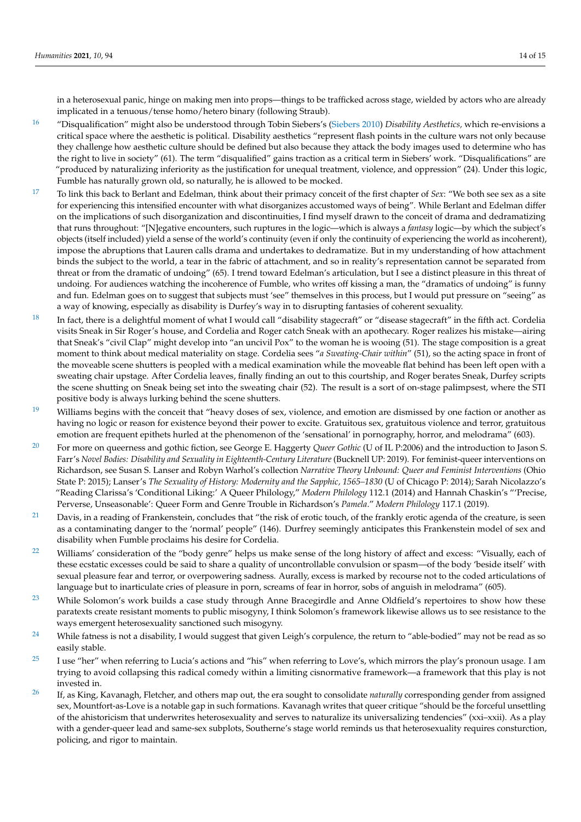in a heterosexual panic, hinge on making men into props—things to be trafficked across stage, wielded by actors who are already implicated in a tenuous/tense homo/hetero binary (following Straub).

- <span id="page-13-0"></span>[16](#page-6-1) "Disqualification" might also be understood through Tobin Siebers's [\(Siebers](#page-14-32) [2010\)](#page-14-32) *Disability Aesthetics,* which re-envisions a critical space where the aesthetic is political. Disability aesthetics "represent flash points in the culture wars not only because they challenge how aesthetic culture should be defined but also because they attack the body images used to determine who has the right to live in society" (61). The term "disqualified" gains traction as a critical term in Siebers' work. "Disqualifications" are "produced by naturalizing inferiority as the justification for unequal treatment, violence, and oppression" (24). Under this logic, Fumble has naturally grown old, so naturally, he is allowed to be mocked.
- <span id="page-13-1"></span>[17](#page-8-0) To link this back to Berlant and Edelman, think about their primacy conceit of the first chapter of *Sex*: "We both see sex as a site for experiencing this intensified encounter with what disorganizes accustomed ways of being". While Berlant and Edelman differ on the implications of such disorganization and discontinuities, I find myself drawn to the conceit of drama and dedramatizing that runs throughout: "[N]egative encounters, such ruptures in the logic—which is always a *fantasy* logic—by which the subject's objects (itself included) yield a sense of the world's continuity (even if only the continuity of experiencing the world as incoherent), impose the abruptions that Lauren calls drama and undertakes to dedramatize. But in my understanding of how attachment binds the subject to the world, a tear in the fabric of attachment, and so in reality's representation cannot be separated from threat or from the dramatic of undoing" (65). I trend toward Edelman's articulation, but I see a distinct pleasure in this threat of undoing. For audiences watching the incoherence of Fumble, who writes off kissing a man, the "dramatics of undoing" is funny and fun. Edelman goes on to suggest that subjects must 'see" themselves in this process, but I would put pressure on "seeing" as a way of knowing, especially as disability is Durfey's way in to disrupting fantasies of coherent sexuality.
- <span id="page-13-2"></span> $18$  In fact, there is a delightful moment of what I would call "disability stagecraft" or "disease stagecraft" in the fifth act. Cordelia visits Sneak in Sir Roger's house, and Cordelia and Roger catch Sneak with an apothecary. Roger realizes his mistake—airing that Sneak's "civil Clap" might develop into "an uncivil Pox" to the woman he is wooing (51). The stage composition is a great moment to think about medical materiality on stage. Cordelia sees "*a Sweating-Chair within*" (51), so the acting space in front of the moveable scene shutters is peopled with a medical examination while the moveable flat behind has been left open with a sweating chair upstage. After Cordelia leaves, finally finding an out to this courtship, and Roger berates Sneak, Durfey scripts the scene shutting on Sneak being set into the sweating chair (52). The result is a sort of on-stage palimpsest, where the STI positive body is always lurking behind the scene shutters.
- <span id="page-13-3"></span> $19$  Williams begins with the conceit that "heavy doses of sex, violence, and emotion are dismissed by one faction or another as having no logic or reason for existence beyond their power to excite. Gratuitous sex, gratuitous violence and terror, gratuitous emotion are frequent epithets hurled at the phenomenon of the 'sensational' in pornography, horror, and melodrama" (603).
- <span id="page-13-4"></span><sup>[20](#page-8-3)</sup> For more on queerness and gothic fiction, see George E. Haggerty *Queer Gothic* (U of IL P:2006) and the introduction to Jason S. Farr's Novel Bodies: Disability and Sexuality in Eighteenth-Century Literature (Bucknell UP: 2019). For feminist-queer interventions on Richardson, see Susan S. Lanser and Robyn Warhol's collection *Narrative Theory Unbound: Queer and Feminist Interventions* (Ohio State P: 2015); Lanser's *The Sexuality of History: Modernity and the Sapphic, 1565–1830* (U of Chicago P: 2014); Sarah Nicolazzo's "Reading Clarissa's 'Conditional Liking:' A Queer Philology," *Modern Philology* 112.1 (2014) and Hannah Chaskin's "'Precise, Perverse, Unseasonable': Queer Form and Genre Trouble in Richardson's *Pamela*." *Modern Philology* 117.1 (2019).
- <span id="page-13-5"></span> $21$  Davis, in a reading of Frankenstein, concludes that "the risk of erotic touch, of the frankly erotic agenda of the creature, is seen as a contaminating danger to the 'normal' people" (146). Durfrey seemingly anticipates this Frankenstein model of sex and disability when Fumble proclaims his desire for Cordelia.
- <span id="page-13-6"></span><sup>[22](#page-9-1)</sup> Williams' consideration of the "body genre" helps us make sense of the long history of affect and excess: "Visually, each of these ecstatic excesses could be said to share a quality of uncontrollable convulsion or spasm—of the body 'beside itself' with sexual pleasure fear and terror, or overpowering sadness. Aurally, excess is marked by recourse not to the coded articulations of language but to inarticulate cries of pleasure in porn, screams of fear in horror, sobs of anguish in melodrama" (605).
- <span id="page-13-7"></span><sup>[23](#page-9-2)</sup> While Solomon's work builds a case study through Anne Bracegirdle and Anne Oldfield's repertoires to show how these paratexts create resistant moments to public misogyny, I think Solomon's framework likewise allows us to see resistance to the ways emergent heterosexuality sanctioned such misogyny.
- <span id="page-13-8"></span><sup>[24](#page-10-0)</sup> While fatness is not a disability, I would suggest that given Leigh's corpulence, the return to "able-bodied" may not be read as so easily stable.
- <span id="page-13-9"></span><sup>[25](#page-10-1)</sup> I use "her" when referring to Lucia's actions and "his" when referring to Love's, which mirrors the play's pronoun usage. I am trying to avoid collapsing this radical comedy within a limiting cisnormative framework—a framework that this play is not invested in.
- <span id="page-13-10"></span>[26](#page-10-2) If, as King, Kavanagh, Fletcher, and others map out, the era sought to consolidate *naturally* corresponding gender from assigned sex, Mountfort-as-Love is a notable gap in such formations. Kavanagh writes that queer critique "should be the forceful unsettling of the ahistoricism that underwrites heterosexuality and serves to naturalize its universalizing tendencies" (xxi–xxii). As a play with a gender-queer lead and same-sex subplots, Southerne's stage world reminds us that heterosexuality requires consturction, policing, and rigor to maintain.